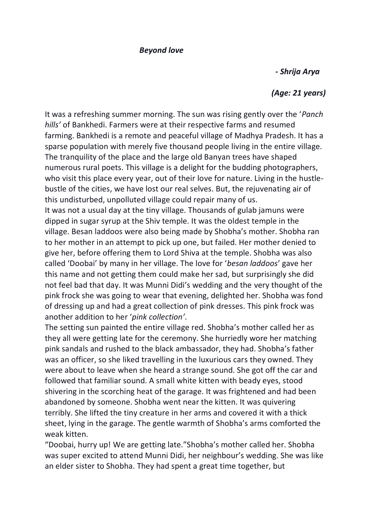## *Beyond love*

 *- Shrija Arya*

## *(Age: 21 years)*

It was a refreshing summer morning. The sun was rising gently over the '*Panch hills'* of Bankhedi. Farmers were at their respective farms and resumed farming. Bankhedi is a remote and peaceful village of Madhya Pradesh. It has a sparse population with merely five thousand people living in the entire village. The tranquility of the place and the large old Banyan trees have shaped numerous rural poets. This village is a delight for the budding photographers, who visit this place every year, out of their love for nature. Living in the hustlebustle of the cities, we have lost our real selves. But, the rejuvenating air of this undisturbed, unpolluted village could repair many of us. It was not a usual day at the tiny village. Thousands of gulab jamuns were dipped in sugar syrup at the Shiv temple. It was the oldest temple in the village. Besan laddoos were also being made by Shobha's mother. Shobha ran to her mother in an attempt to pick up one, but failed. Her mother denied to give her, before offering them to Lord Shiva at the temple. Shobha was also called 'Doobai' by many in her village. The love for '*besan laddoos*' gave her this name and not getting them could make her sad, but surprisingly she did not feel bad that day. It was Munni Didi's wedding and the very thought of the pink frock she was going to wear that evening, delighted her. Shobha was fond of dressing up and had a great collection of pink dresses. This pink frock was another addition to her '*pink collection'*.

The setting sun painted the entire village red. Shobha's mother called her as they all were getting late for the ceremony. She hurriedly wore her matching pink sandals and rushed to the black ambassador, they had. Shobha's father was an officer, so she liked travelling in the luxurious cars they owned. They were about to leave when she heard a strange sound. She got off the car and followed that familiar sound. A small white kitten with beady eyes, stood shivering in the scorching heat of the garage. It was frightened and had been abandoned by someone. Shobha went near the kitten. It was quivering terribly. She lifted the tiny creature in her arms and covered it with a thick sheet, lying in the garage. The gentle warmth of Shobha's arms comforted the weak kitten.

"Doobai, hurry up! We are getting late."Shobha's mother called her. Shobha was super excited to attend Munni Didi, her neighbour's wedding. She was like an elder sister to Shobha. They had spent a great time together, but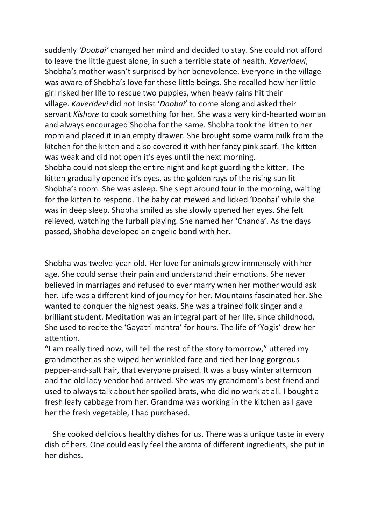suddenly *'Doobai'* changed her mind and decided to stay. She could not afford to leave the little guest alone, in such a terrible state of health. *Kaveridevi*, Shobha's mother wasn't surprised by her benevolence. Everyone in the village was aware of Shobha's love for these little beings. She recalled how her little girl risked her life to rescue two puppies, when heavy rains hit their village. *Kaveridevi* did not insist '*Doobai*' to come along and asked their servant *Kishore* to cook something for her. She was a very kind-hearted woman and always encouraged Shobha for the same. Shobha took the kitten to her room and placed it in an empty drawer. She brought some warm milk from the kitchen for the kitten and also covered it with her fancy pink scarf. The kitten was weak and did not open it's eyes until the next morning. Shobha could not sleep the entire night and kept guarding the kitten. The kitten gradually opened it's eyes, as the golden rays of the rising sun lit Shobha's room. She was asleep. She slept around four in the morning, waiting for the kitten to respond. The baby cat mewed and licked 'Doobai' while she was in deep sleep. Shobha smiled as she slowly opened her eyes. She felt relieved, watching the furball playing. She named her 'Chanda'. As the days passed, Shobha developed an angelic bond with her.

Shobha was twelve-year-old. Her love for animals grew immensely with her age. She could sense their pain and understand their emotions. She never believed in marriages and refused to ever marry when her mother would ask her. Life was a different kind of journey for her. Mountains fascinated her. She wanted to conquer the highest peaks. She was a trained folk singer and a brilliant student. Meditation was an integral part of her life, since childhood. She used to recite the 'Gayatri mantra' for hours. The life of 'Yogis' drew her attention.

"I am really tired now, will tell the rest of the story tomorrow," uttered my grandmother as she wiped her wrinkled face and tied her long gorgeous pepper-and-salt hair, that everyone praised. It was a busy winter afternoon and the old lady vendor had arrived. She was my grandmom's best friend and used to always talk about her spoiled brats, who did no work at all. I bought a fresh leafy cabbage from her. Grandma was working in the kitchen as I gave her the fresh vegetable, I had purchased.

 She cooked delicious healthy dishes for us. There was a unique taste in every dish of hers. One could easily feel the aroma of different ingredients, she put in her dishes.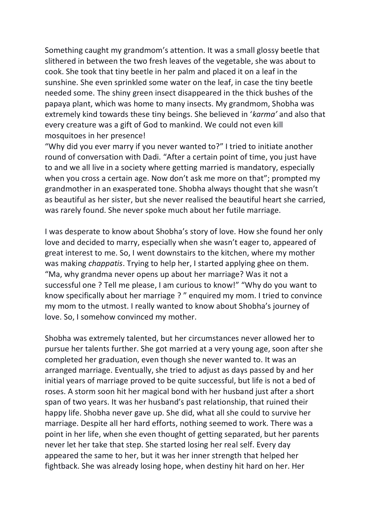Something caught my grandmom's attention. It was a small glossy beetle that slithered in between the two fresh leaves of the vegetable, she was about to cook. She took that tiny beetle in her palm and placed it on a leaf in the sunshine. She even sprinkled some water on the leaf, in case the tiny beetle needed some. The shiny green insect disappeared in the thick bushes of the papaya plant, which was home to many insects. My grandmom, Shobha was extremely kind towards these tiny beings. She believed in '*karma'* and also that every creature was a gift of God to mankind. We could not even kill mosquitoes in her presence!

"Why did you ever marry if you never wanted to?" I tried to initiate another round of conversation with Dadi. "After a certain point of time, you just have to and we all live in a society where getting married is mandatory, especially when you cross a certain age. Now don't ask me more on that"; prompted my grandmother in an exasperated tone. Shobha always thought that she wasn't as beautiful as her sister, but she never realised the beautiful heart she carried, was rarely found. She never spoke much about her futile marriage.

I was desperate to know about Shobha's story of love. How she found her only love and decided to marry, especially when she wasn't eager to, appeared of great interest to me. So, I went downstairs to the kitchen, where my mother was making *chappatis*. Trying to help her, I started applying ghee on them. "Ma, why grandma never opens up about her marriage? Was it not a successful one ? Tell me please, I am curious to know!" "Why do you want to know specifically about her marriage ? " enquired my mom. I tried to convince my mom to the utmost. I really wanted to know about Shobha's journey of love. So, I somehow convinced my mother.

Shobha was extremely talented, but her circumstances never allowed her to pursue her talents further. She got married at a very young age, soon after she completed her graduation, even though she never wanted to. It was an arranged marriage. Eventually, she tried to adjust as days passed by and her initial years of marriage proved to be quite successful, but life is not a bed of roses. A storm soon hit her magical bond with her husband just after a short span of two years. It was her husband's past relationship, that ruined their happy life. Shobha never gave up. She did, what all she could to survive her marriage. Despite all her hard efforts, nothing seemed to work. There was a point in her life, when she even thought of getting separated, but her parents never let her take that step. She started losing her real self. Every day appeared the same to her, but it was her inner strength that helped her fightback. She was already losing hope, when destiny hit hard on her. Her